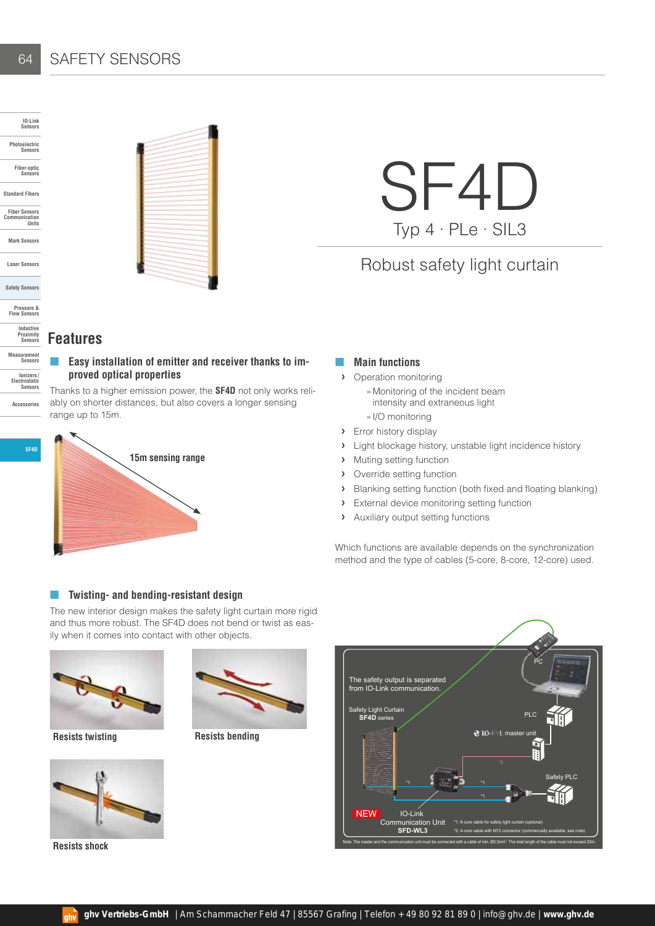## SAFETY SENSORS

**Inductive Proximity Sensors Measurement Sensors**

**Ionizers / Electrostatic Sensors Accessories**

64

**SF4D**



SF4D Typ 4 · PLe · SIL3

Robust safety light curtain

## **Features**

## Easy installation of emitter and receiver thanks to im**proved optical properties**

Thanks to a higher emission power, the **SF4D** not only works reliably on shorter distances, but also covers a longer sensing range up to 15m.



## ■ **Main functions**

- **›** Operation monitoring
	- »Monitoring of the incident beam intensity and extraneous light
	- »I/O monitoring
- **›** Error history display
- **›** Light blockage history, unstable light incidence history
- **›** Muting setting function
- **›** Override setting function
- **›** Blanking setting function (both fixed and floating blanking)
- **›** External device monitoring setting function
- **›** Auxiliary output setting functions

Which functions are available depends on the synchronization method and the type of cables (5-core, 8-core, 12-core) used.

#### ■ **Twisting- and bending-resistant design**

The new interior design makes the safety light curtain more rigid and thus more robust. The SF4D does not bend or twist as easily when it comes into contact with other objects.





**Resists shock**



**Resists twisting Resists bending**

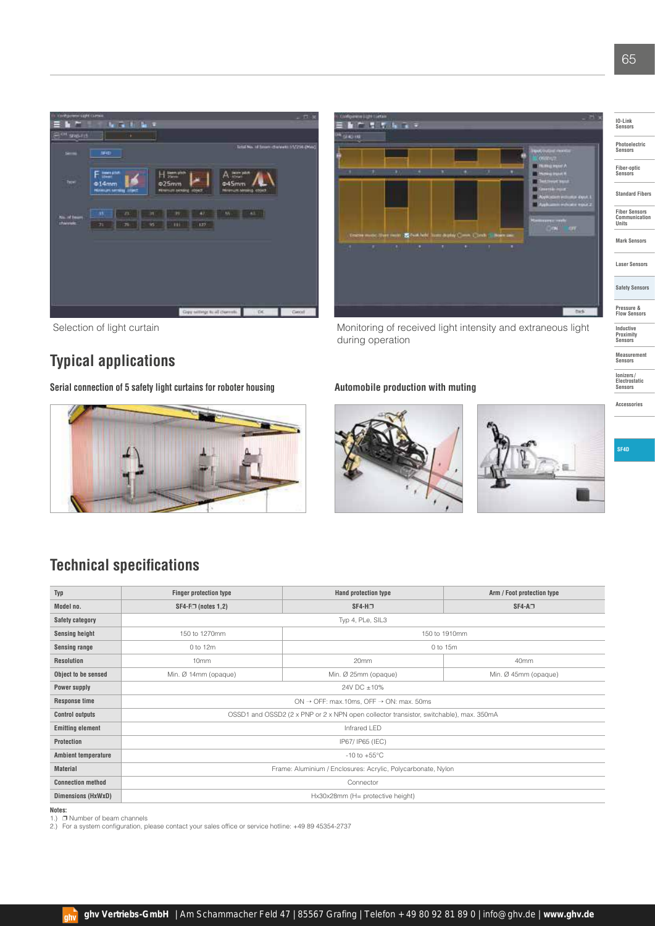



Selection of light curtain **Monitoring of received light intensity and extraneous light** Selection of light curtain during operation

**Typical applications**

Serial connection of 5 safety light curtains for roboter housing **Automobile production with muting** 







**SF4D**

## **Technical specifications**

| Typ                        | <b>Finger protection type</b>                                                          | Hand protection type | Arm / Foot protection type |  |
|----------------------------|----------------------------------------------------------------------------------------|----------------------|----------------------------|--|
| Model no.                  | $SF4-F \square$ (notes 1,2)                                                            | $SF4-H2$             | $SF4-A-$                   |  |
| <b>Safety category</b>     | Typ 4, PLe, SIL3                                                                       |                      |                            |  |
| <b>Sensing height</b>      | 150 to 1270mm                                                                          | 150 to 1910mm        |                            |  |
| <b>Sensing range</b>       | 0 to 12m                                                                               | 0 to 15m             |                            |  |
| <b>Resolution</b>          | 10mm                                                                                   | 20mm                 | 40mm                       |  |
| Object to be sensed        | Min. Ø 14mm (opaque)                                                                   | Min. Ø 25mm (opaque) | Min. Ø 45mm (opaque)       |  |
| <b>Power supply</b>        | 24V DC ±10%                                                                            |                      |                            |  |
| <b>Response time</b>       | ON $\rightarrow$ OFF: max.10ms, OFF $\rightarrow$ ON: max. 50ms                        |                      |                            |  |
| <b>Control outputs</b>     | OSSD1 and OSSD2 (2 x PNP or 2 x NPN open collector transistor, switchable), max. 350mA |                      |                            |  |
| <b>Emitting element</b>    | Infrared LED                                                                           |                      |                            |  |
| Protection                 | IP67/ IP65 (IEC)                                                                       |                      |                            |  |
| <b>Ambient temperature</b> | $-10$ to $+55^{\circ}$ C                                                               |                      |                            |  |
| <b>Material</b>            | Frame: Aluminium / Enclosures: Acrylic, Polycarbonate, Nylon                           |                      |                            |  |
| <b>Connection method</b>   | Connector                                                                              |                      |                            |  |
| Dimensions (HxWxD)         | Hx30x28mm (H= protective height)                                                       |                      |                            |  |

 $_{\text{aliv}}$ 

**Notes:**<br>1.) □ Number of beam channels

2.) For a system configuration, please contact your sales office or service hotline: +49 89 45354-2737

**IO-Link Sensors**

**Photoelectric Sensors** 

**Fiber-optic Sensors**

**Standard Fibers**

**Fiber Sensors Communication Units**

**Mark Sensors**

**Laser Sensors**

**Safety Sensors**

**Pressure & Flow Sensors**

**Inductive Proximity Sensors**

**Measurement Sensors**

**Ionizers / Electrostatic Sensors Accessories**